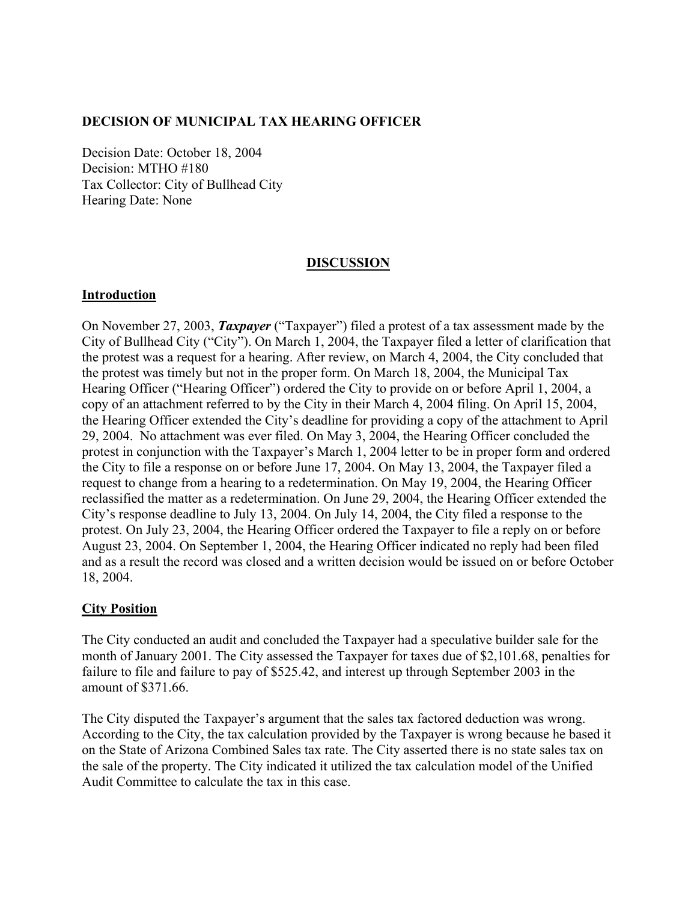#### **DECISION OF MUNICIPAL TAX HEARING OFFICER**

Decision Date: October 18, 2004 Decision: MTHO #180 Tax Collector: City of Bullhead City Hearing Date: None

#### **DISCUSSION**

#### **Introduction**

On November 27, 2003, *Taxpayer* ("Taxpayer") filed a protest of a tax assessment made by the City of Bullhead City ("City"). On March 1, 2004, the Taxpayer filed a letter of clarification that the protest was a request for a hearing. After review, on March 4, 2004, the City concluded that the protest was timely but not in the proper form. On March 18, 2004, the Municipal Tax Hearing Officer ("Hearing Officer") ordered the City to provide on or before April 1, 2004, a copy of an attachment referred to by the City in their March 4, 2004 filing. On April 15, 2004, the Hearing Officer extended the City's deadline for providing a copy of the attachment to April 29, 2004. No attachment was ever filed. On May 3, 2004, the Hearing Officer concluded the protest in conjunction with the Taxpayer's March 1, 2004 letter to be in proper form and ordered the City to file a response on or before June 17, 2004. On May 13, 2004, the Taxpayer filed a request to change from a hearing to a redetermination. On May 19, 2004, the Hearing Officer reclassified the matter as a redetermination. On June 29, 2004, the Hearing Officer extended the City's response deadline to July 13, 2004. On July 14, 2004, the City filed a response to the protest. On July 23, 2004, the Hearing Officer ordered the Taxpayer to file a reply on or before August 23, 2004. On September 1, 2004, the Hearing Officer indicated no reply had been filed and as a result the record was closed and a written decision would be issued on or before October 18, 2004.

#### **City Position**

The City conducted an audit and concluded the Taxpayer had a speculative builder sale for the month of January 2001. The City assessed the Taxpayer for taxes due of \$2,101.68, penalties for failure to file and failure to pay of \$525.42, and interest up through September 2003 in the amount of \$371.66.

The City disputed the Taxpayer's argument that the sales tax factored deduction was wrong. According to the City, the tax calculation provided by the Taxpayer is wrong because he based it on the State of Arizona Combined Sales tax rate. The City asserted there is no state sales tax on the sale of the property. The City indicated it utilized the tax calculation model of the Unified Audit Committee to calculate the tax in this case.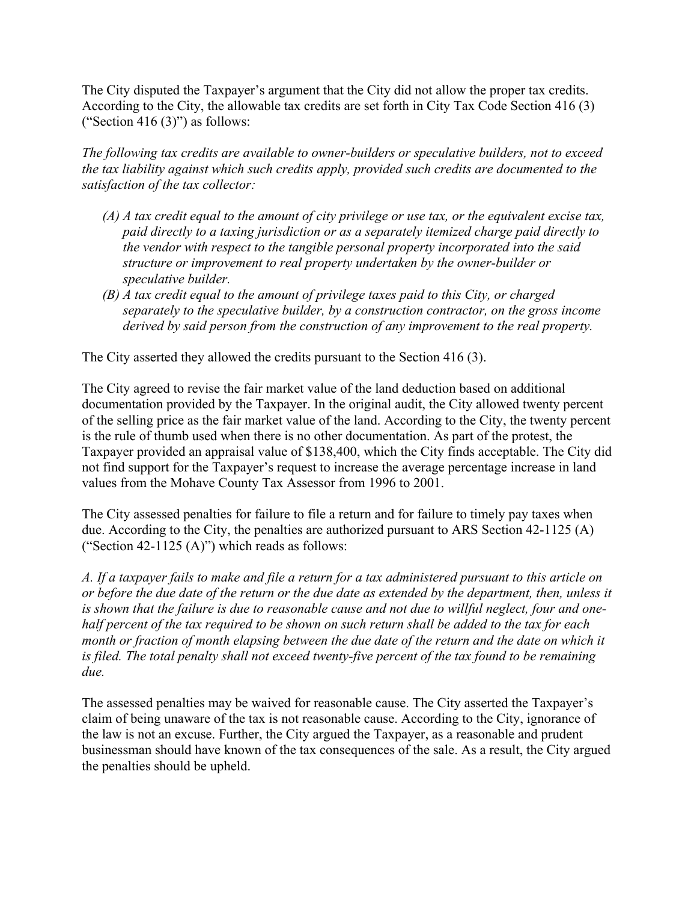The City disputed the Taxpayer's argument that the City did not allow the proper tax credits. According to the City, the allowable tax credits are set forth in City Tax Code Section 416 (3) ("Section 416  $(3)$ ") as follows:

*The following tax credits are available to owner-builders or speculative builders, not to exceed the tax liability against which such credits apply, provided such credits are documented to the satisfaction of the tax collector:* 

- *(A) A tax credit equal to the amount of city privilege or use tax, or the equivalent excise tax, paid directly to a taxing jurisdiction or as a separately itemized charge paid directly to the vendor with respect to the tangible personal property incorporated into the said structure or improvement to real property undertaken by the owner-builder or speculative builder.*
- *(B) A tax credit equal to the amount of privilege taxes paid to this City, or charged separately to the speculative builder, by a construction contractor, on the gross income derived by said person from the construction of any improvement to the real property.*

The City asserted they allowed the credits pursuant to the Section 416 (3).

The City agreed to revise the fair market value of the land deduction based on additional documentation provided by the Taxpayer. In the original audit, the City allowed twenty percent of the selling price as the fair market value of the land. According to the City, the twenty percent is the rule of thumb used when there is no other documentation. As part of the protest, the Taxpayer provided an appraisal value of \$138,400, which the City finds acceptable. The City did not find support for the Taxpayer's request to increase the average percentage increase in land values from the Mohave County Tax Assessor from 1996 to 2001.

The City assessed penalties for failure to file a return and for failure to timely pay taxes when due. According to the City, the penalties are authorized pursuant to ARS Section 42-1125 (A) ("Section 42-1125  $(A)$ ") which reads as follows:

*A. If a taxpayer fails to make and file a return for a tax administered pursuant to this article on or before the due date of the return or the due date as extended by the department, then, unless it is shown that the failure is due to reasonable cause and not due to willful neglect, four and onehalf percent of the tax required to be shown on such return shall be added to the tax for each month or fraction of month elapsing between the due date of the return and the date on which it is filed. The total penalty shall not exceed twenty-five percent of the tax found to be remaining due.* 

The assessed penalties may be waived for reasonable cause. The City asserted the Taxpayer's claim of being unaware of the tax is not reasonable cause. According to the City, ignorance of the law is not an excuse. Further, the City argued the Taxpayer, as a reasonable and prudent businessman should have known of the tax consequences of the sale. As a result, the City argued the penalties should be upheld.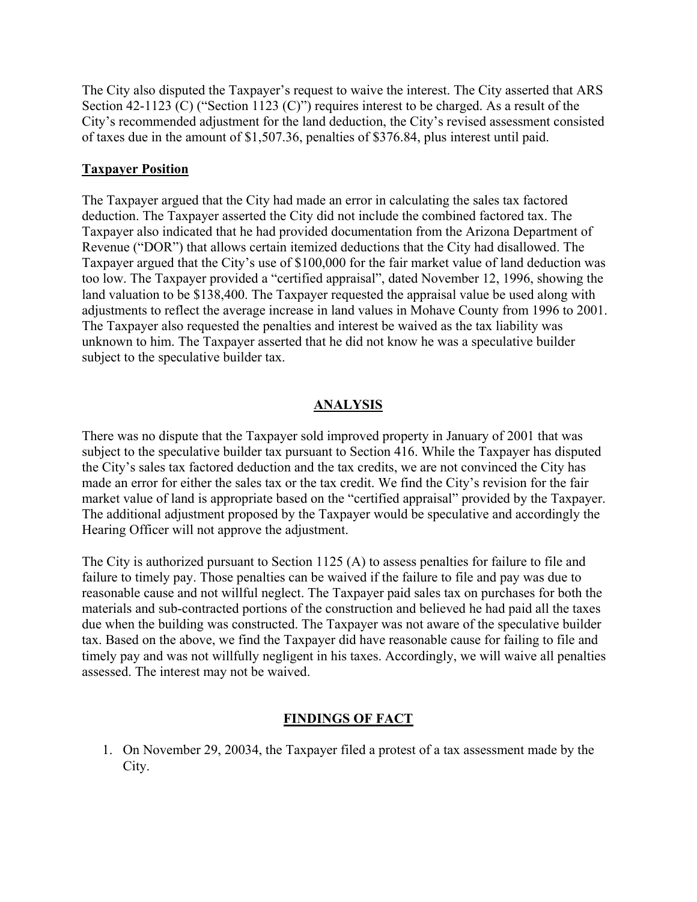The City also disputed the Taxpayer's request to waive the interest. The City asserted that ARS Section 42-1123 (C) ("Section 1123 (C)") requires interest to be charged. As a result of the City's recommended adjustment for the land deduction, the City's revised assessment consisted of taxes due in the amount of \$1,507.36, penalties of \$376.84, plus interest until paid.

### **Taxpayer Position**

The Taxpayer argued that the City had made an error in calculating the sales tax factored deduction. The Taxpayer asserted the City did not include the combined factored tax. The Taxpayer also indicated that he had provided documentation from the Arizona Department of Revenue ("DOR") that allows certain itemized deductions that the City had disallowed. The Taxpayer argued that the City's use of \$100,000 for the fair market value of land deduction was too low. The Taxpayer provided a "certified appraisal", dated November 12, 1996, showing the land valuation to be \$138,400. The Taxpayer requested the appraisal value be used along with adjustments to reflect the average increase in land values in Mohave County from 1996 to 2001. The Taxpayer also requested the penalties and interest be waived as the tax liability was unknown to him. The Taxpayer asserted that he did not know he was a speculative builder subject to the speculative builder tax.

### **ANALYSIS**

There was no dispute that the Taxpayer sold improved property in January of 2001 that was subject to the speculative builder tax pursuant to Section 416. While the Taxpayer has disputed the City's sales tax factored deduction and the tax credits, we are not convinced the City has made an error for either the sales tax or the tax credit. We find the City's revision for the fair market value of land is appropriate based on the "certified appraisal" provided by the Taxpayer. The additional adjustment proposed by the Taxpayer would be speculative and accordingly the Hearing Officer will not approve the adjustment.

The City is authorized pursuant to Section 1125 (A) to assess penalties for failure to file and failure to timely pay. Those penalties can be waived if the failure to file and pay was due to reasonable cause and not willful neglect. The Taxpayer paid sales tax on purchases for both the materials and sub-contracted portions of the construction and believed he had paid all the taxes due when the building was constructed. The Taxpayer was not aware of the speculative builder tax. Based on the above, we find the Taxpayer did have reasonable cause for failing to file and timely pay and was not willfully negligent in his taxes. Accordingly, we will waive all penalties assessed. The interest may not be waived.

### **FINDINGS OF FACT**

1. On November 29, 20034, the Taxpayer filed a protest of a tax assessment made by the City.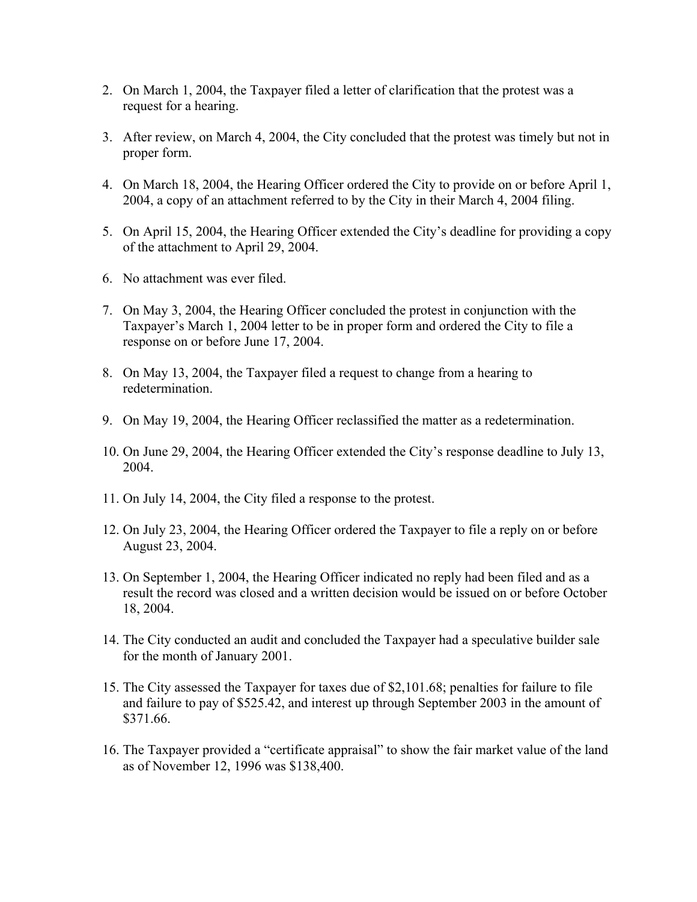- 2. On March 1, 2004, the Taxpayer filed a letter of clarification that the protest was a request for a hearing.
- 3. After review, on March 4, 2004, the City concluded that the protest was timely but not in proper form.
- 4. On March 18, 2004, the Hearing Officer ordered the City to provide on or before April 1, 2004, a copy of an attachment referred to by the City in their March 4, 2004 filing.
- 5. On April 15, 2004, the Hearing Officer extended the City's deadline for providing a copy of the attachment to April 29, 2004.
- 6. No attachment was ever filed.
- 7. On May 3, 2004, the Hearing Officer concluded the protest in conjunction with the Taxpayer's March 1, 2004 letter to be in proper form and ordered the City to file a response on or before June 17, 2004.
- 8. On May 13, 2004, the Taxpayer filed a request to change from a hearing to redetermination.
- 9. On May 19, 2004, the Hearing Officer reclassified the matter as a redetermination.
- 10. On June 29, 2004, the Hearing Officer extended the City's response deadline to July 13, 2004.
- 11. On July 14, 2004, the City filed a response to the protest.
- 12. On July 23, 2004, the Hearing Officer ordered the Taxpayer to file a reply on or before August 23, 2004.
- 13. On September 1, 2004, the Hearing Officer indicated no reply had been filed and as a result the record was closed and a written decision would be issued on or before October 18, 2004.
- 14. The City conducted an audit and concluded the Taxpayer had a speculative builder sale for the month of January 2001.
- 15. The City assessed the Taxpayer for taxes due of \$2,101.68; penalties for failure to file and failure to pay of \$525.42, and interest up through September 2003 in the amount of \$371.66.
- 16. The Taxpayer provided a "certificate appraisal" to show the fair market value of the land as of November 12, 1996 was \$138,400.